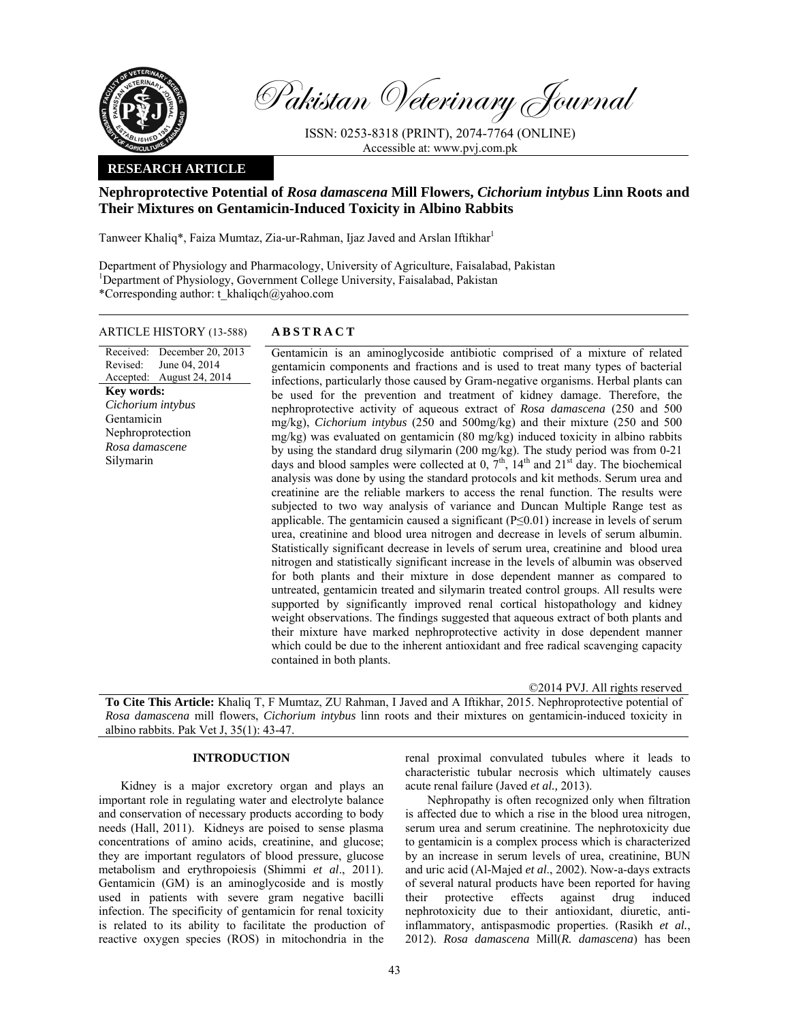

Pakistan Veterinary Journal

ISSN: 0253-8318 (PRINT), 2074-7764 (ONLINE) Accessible at: www.pvj.com.pk

## **RESEARCH ARTICLE**

# **Nephroprotective Potential of** *Rosa damascena* **Mill Flowers,** *Cichorium intybus* **Linn Roots and Their Mixtures on Gentamicin-Induced Toxicity in Albino Rabbits**

Tanweer Khaliq\*, Faiza Mumtaz, Zia-ur-Rahman, Ijaz Javed and Arslan Iftikhar

Department of Physiology and Pharmacology, University of Agriculture, Faisalabad, Pakistan <sup>1</sup>Department of Physiology, Government College University, Faisalabad, Pakistan \*Corresponding author: t\_khaliqch@yahoo.com

#### ARTICLE HISTORY (13-588) **ABSTRACT**

Received: Revised: Accepted: August 24, 2014 December 20, 2013 June 04, 2014 **Key words:**  *Cichorium intybus*  Gentamicin Nephroprotection *Rosa damascene*  Silymarin

 Gentamicin is an aminoglycoside antibiotic comprised of a mixture of related gentamicin components and fractions and is used to treat many types of bacterial infections, particularly those caused by Gram-negative organisms. Herbal plants can be used for the prevention and treatment of kidney damage. Therefore, the nephroprotective activity of aqueous extract of *Rosa damascena* (250 and 500 mg/kg), *Cichorium intybus* (250 and 500mg/kg) and their mixture (250 and 500 mg/kg) was evaluated on gentamicin (80 mg/kg) induced toxicity in albino rabbits by using the standard drug silymarin (200 mg/kg). The study period was from 0-21 days and blood samples were collected at  $0, 7<sup>th</sup>, 14<sup>th</sup>$  and  $21<sup>st</sup>$  day. The biochemical analysis was done by using the standard protocols and kit methods. Serum urea and creatinine are the reliable markers to access the renal function. The results were subjected to two way analysis of variance and Duncan Multiple Range test as applicable. The gentamicin caused a significant  $(P \le 0.01)$  increase in levels of serum urea, creatinine and blood urea nitrogen and decrease in levels of serum albumin. Statistically significant decrease in levels of serum urea, creatinine and blood urea nitrogen and statistically significant increase in the levels of albumin was observed for both plants and their mixture in dose dependent manner as compared to untreated, gentamicin treated and silymarin treated control groups. All results were supported by significantly improved renal cortical histopathology and kidney weight observations. The findings suggested that aqueous extract of both plants and their mixture have marked nephroprotective activity in dose dependent manner which could be due to the inherent antioxidant and free radical scavenging capacity contained in both plants.

©2014 PVJ. All rights reserved

**To Cite This Article:** Khaliq T, F Mumtaz, ZU Rahman, I Javed and A Iftikhar, 2015. Nephroprotective potential of *Rosa damascena* mill flowers, *Cichorium intybus* linn roots and their mixtures on gentamicin-induced toxicity in albino rabbits. Pak Vet J, 35(1): 43-47.

## **INTRODUCTION**

Kidney is a major excretory organ and plays an important role in regulating water and electrolyte balance and conservation of necessary products according to body needs (Hall, 2011). Kidneys are poised to sense plasma concentrations of amino acids, creatinine, and glucose; they are important regulators of blood pressure, glucose metabolism and erythropoiesis (Shimmi *et al*., 2011). Gentamicin (GM) is an aminoglycoside and is mostly used in patients with severe gram negative bacilli infection. The specificity of gentamicin for renal toxicity is related to its ability to facilitate the production of reactive oxygen species (ROS) in mitochondria in the

renal proximal convulated tubules where it leads to characteristic tubular necrosis which ultimately causes acute renal failure (Javed *et al.,* 2013).

Nephropathy is often recognized only when filtration is affected due to which a rise in the blood urea nitrogen, serum urea and serum creatinine. The nephrotoxicity due to gentamicin is a complex process which is characterized by an increase in serum levels of urea, creatinine, BUN and uric acid (Al-Majed *et al*., 2002). Now-a-days extracts of several natural products have been reported for having their protective effects against drug induced nephrotoxicity due to their antioxidant, diuretic, antiinflammatory, antispasmodic properties. (Rasikh *et al.*, 2012). *Rosa damascena* Mill(*R. damascena*) has been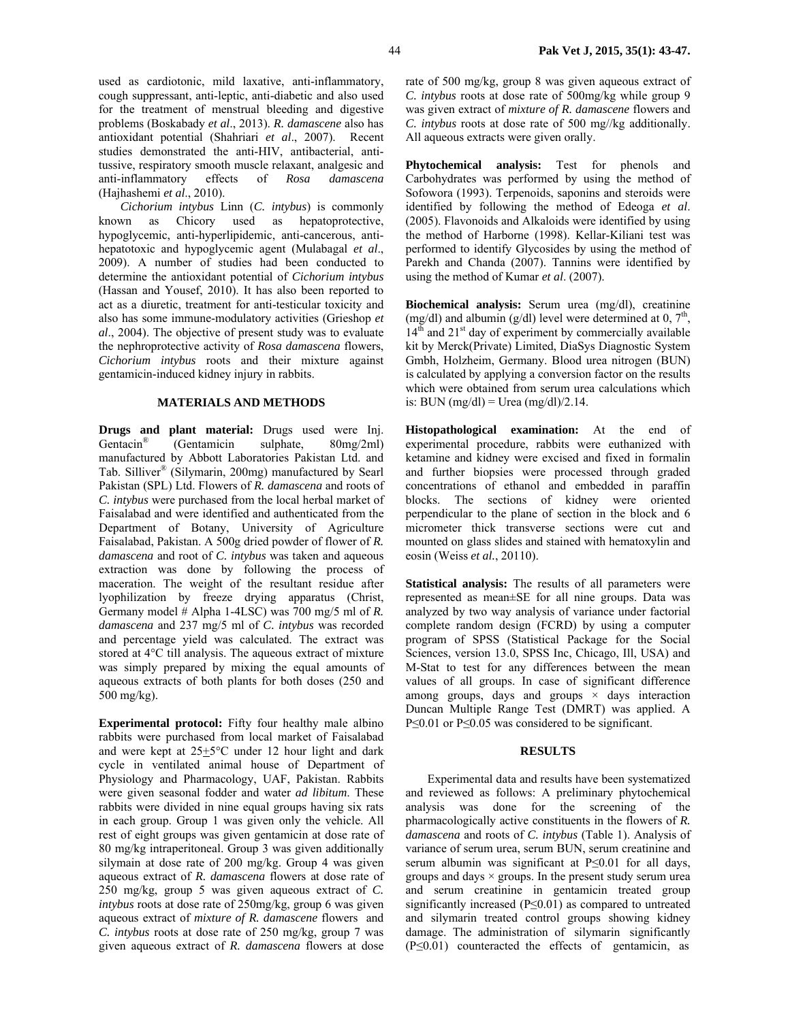used as cardiotonic, mild laxative, anti-inflammatory, cough suppressant, anti-leptic, anti-diabetic and also used for the treatment of menstrual bleeding and digestive problems (Boskabady *et al*., 2013). *R. damascene* also has antioxidant potential (Shahriari *et al*., 2007). Recent studies demonstrated the anti-HIV, antibacterial, antitussive, respiratory smooth muscle relaxant, analgesic and anti-inflammatory effects of *Rosa damascena*  (Hajhashemi *et al*., 2010).

*Cichorium intybus* Linn (*C. intybus*) is commonly known as Chicory used as hepatoprotective, hypoglycemic, anti-hyperlipidemic, anti-cancerous, antihepatotoxic and hypoglycemic agent (Mulabagal *et al*., 2009). A number of studies had been conducted to determine the antioxidant potential of *Cichorium intybus* (Hassan and Yousef, 2010). It has also been reported to act as a diuretic, treatment for anti-testicular toxicity and also has some immune-modulatory activities (Grieshop *et al*., 2004). The objective of present study was to evaluate the nephroprotective activity of *Rosa damascena* flowers, *Cichorium intybus* roots and their mixture against gentamicin-induced kidney injury in rabbits.

### **MATERIALS AND METHODS**

**Drugs and plant material:** Drugs used were Inj. Gentacin® (Gentamicin sulphate, 80mg/2ml) manufactured by Abbott Laboratories Pakistan Ltd. and Tab. Silliver® (Silymarin, 200mg) manufactured by Searl Pakistan (SPL) Ltd. Flowers of *R. damascena* and roots of *C. intybus* were purchased from the local herbal market of Faisalabad and were identified and authenticated from the Department of Botany, University of Agriculture Faisalabad, Pakistan. A 500g dried powder of flower of *R. damascena* and root of *C. intybus* was taken and aqueous extraction was done by following the process of maceration. The weight of the resultant residue after lyophilization by freeze drying apparatus (Christ, Germany model # Alpha 1-4LSC) was 700 mg/5 ml of *R. damascena* and 237 mg/5 ml of *C. intybus* was recorded and percentage yield was calculated. The extract was stored at 4°C till analysis. The aqueous extract of mixture was simply prepared by mixing the equal amounts of aqueous extracts of both plants for both doses (250 and 500 mg/kg).

**Experimental protocol:** Fifty four healthy male albino rabbits were purchased from local market of Faisalabad and were kept at  $25\pm5\degree$ C under 12 hour light and dark cycle in ventilated animal house of Department of Physiology and Pharmacology, UAF, Pakistan. Rabbits were given seasonal fodder and water *ad libitum*. These rabbits were divided in nine equal groups having six rats in each group. Group 1 was given only the vehicle. All rest of eight groups was given gentamicin at dose rate of 80 mg/kg intraperitoneal. Group 3 was given additionally silymain at dose rate of 200 mg/kg. Group 4 was given aqueous extract of *R. damascena* flowers at dose rate of 250 mg/kg, group 5 was given aqueous extract of *C. intybus* roots at dose rate of 250mg/kg, group 6 was given aqueous extract of *mixture of R. damascene* flowers and *C. intybus* roots at dose rate of 250 mg/kg, group 7 was given aqueous extract of *R. damascena* flowers at dose

rate of 500 mg/kg, group 8 was given aqueous extract of *C. intybus* roots at dose rate of 500mg/kg while group 9 was given extract of *mixture of R. damascene* flowers and *C. intybus* roots at dose rate of 500 mg//kg additionally. All aqueous extracts were given orally.

**Phytochemical analysis:** Test for phenols and Carbohydrates was performed by using the method of Sofowora (1993). Terpenoids, saponins and steroids were identified by following the method of Edeoga *et al*. (2005). Flavonoids and Alkaloids were identified by using the method of Harborne (1998). Kellar-Kiliani test was performed to identify Glycosides by using the method of Parekh and Chanda (2007). Tannins were identified by using the method of Kumar *et al*. (2007).

**Biochemical analysis:** Serum urea (mg/dl), creatinine (mg/dl) and albumin (g/dl) level were determined at 0,  $7<sup>th</sup>$ ,  $14<sup>th</sup>$  and  $21<sup>st</sup>$  day of experiment by commercially available kit by Merck(Private) Limited, DiaSys Diagnostic System Gmbh, Holzheim, Germany. Blood urea nitrogen (BUN) is calculated by applying a conversion factor on the results which were obtained from serum urea calculations which is: BUN  $(mg/dl)$  = Urea  $(mg/dl)/2.14$ .

**Histopathological examination:** At the end of experimental procedure, rabbits were euthanized with ketamine and kidney were excised and fixed in formalin and further biopsies were processed through graded concentrations of ethanol and embedded in paraffin blocks. The sections of kidney were oriented perpendicular to the plane of section in the block and 6 micrometer thick transverse sections were cut and mounted on glass slides and stained with hematoxylin and eosin (Weiss *et al.*, 20110).

**Statistical analysis:** The results of all parameters were represented as mean±SE for all nine groups. Data was analyzed by two way analysis of variance under factorial complete random design (FCRD) by using a computer program of SPSS (Statistical Package for the Social Sciences, version 13.0, SPSS Inc, Chicago, Ill, USA) and M-Stat to test for any differences between the mean values of all groups. In case of significant difference among groups, days and groups  $\times$  days interaction Duncan Multiple Range Test (DMRT) was applied. A P≤0.01 or P≤0.05 was considered to be significant.

### **RESULTS**

Experimental data and results have been systematized and reviewed as follows: A preliminary phytochemical analysis was done for the screening of the pharmacologically active constituents in the flowers of *R. damascena* and roots of *C. intybus* (Table 1). Analysis of variance of serum urea, serum BUN, serum creatinine and serum albumin was significant at P≤0.01 for all days, groups and days  $\times$  groups. In the present study serum urea and serum creatinine in gentamicin treated group significantly increased (P≤0.01) as compared to untreated and silymarin treated control groups showing kidney damage. The administration of silymarin significantly  $(P \le 0.01)$  counteracted the effects of gentamicin, as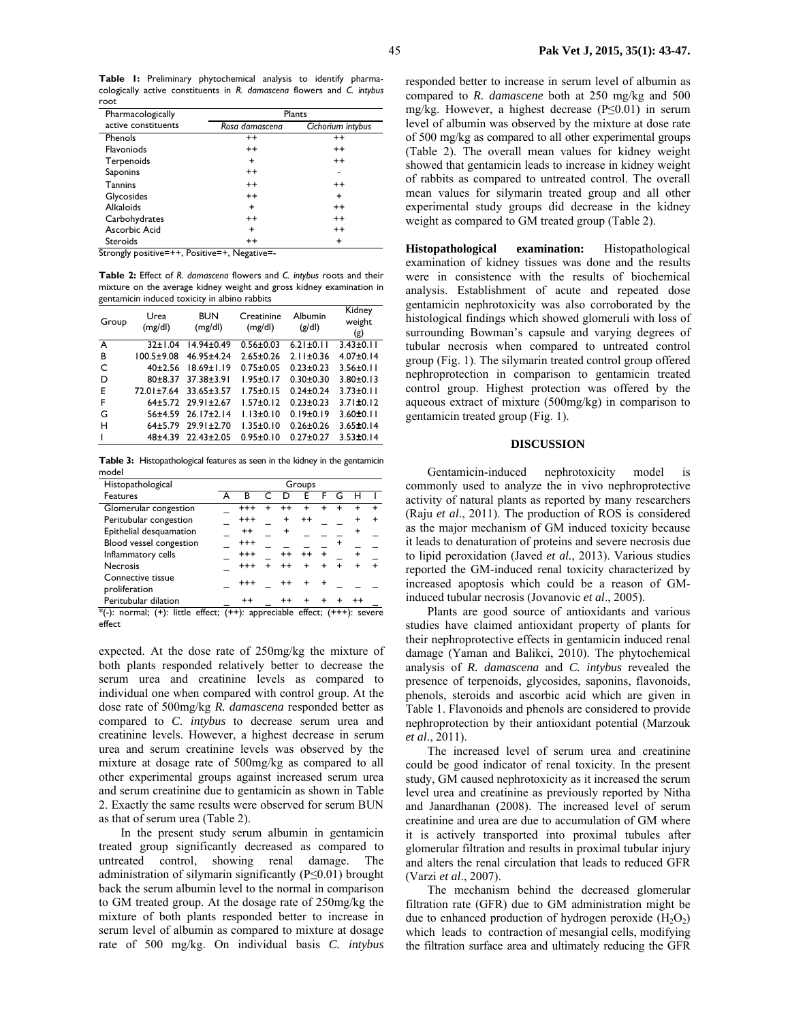**Table 1:** Preliminary phytochemical analysis to identify pharmacologically active constituents in *R. damascena* flowers and *C. intybus* root

| Pharmacologically                                            | Plants         |                   |  |  |  |
|--------------------------------------------------------------|----------------|-------------------|--|--|--|
| active constituents                                          | Rosa damascena | Cichorium intybus |  |  |  |
| Phenols                                                      | $^{++}$        | $^{++}$           |  |  |  |
| <b>Flavoniods</b>                                            | $^{++}$        | $^{++}$           |  |  |  |
| Terpenoids                                                   | +              | $^{++}$           |  |  |  |
| Saponins                                                     | $^{++}$        |                   |  |  |  |
| <b>Tannins</b>                                               | $^{++}$        | $^{++}$           |  |  |  |
| Glycosides                                                   | $^{++}$        | $\ddot{}$         |  |  |  |
| <b>Alkaloids</b>                                             | +              | $^{++}$           |  |  |  |
| Carbohydrates                                                | $^{++}$        | $^{++}$           |  |  |  |
| Ascorbic Acid                                                | +              | $^{++}$           |  |  |  |
| <b>Steroids</b>                                              | $^{++}$        | +                 |  |  |  |
| $\overline{\phantom{a}}$<br>. .<br>-<br>$\cdot$ $\cdot$<br>. | .              |                   |  |  |  |

Strongly positive=++, Positive=+, Negative=-

**Table 2:** Effect of *R. damascena* flowers and *C. intybus* roots and their mixture on the average kidney weight and gross kidney examination in gentamicin induced toxicity in albino rabbits

| $\bullet$ $\cdot$ $\cdot$ $\cdot$<br>Group | Urea<br>(mg/dl)  | <b>BUN</b><br>(mg/dl) | Creatinine<br>(mg/dl) | Albumin<br>(g/d) | Kidney<br>weight<br>(g) |
|--------------------------------------------|------------------|-----------------------|-----------------------|------------------|-------------------------|
| $\overline{A}$                             | $32 \pm 1.04$    | $14.94 \pm 0.49$      | $0.56 \pm 0.03$       | $6.21 \pm 0.11$  | $3.43 \pm 0.11$         |
| B                                          | $100.5 \pm 9.08$ | 46.95±4.24            | $2.65 \pm 0.26$       | $2.11 \pm 0.36$  | $4.07 \pm 0.14$         |
| C                                          | 40±2.56          | $18.69 \pm 1.19$      | $0.75 \pm 0.05$       | $0.23 \pm 0.23$  | $3.56 \pm 0.11$         |
| D                                          | $80+8.37$        | 37.38±3.91            | $1.95 \pm 0.17$       | $0.30 + 0.30$    | $3.80 \pm 0.13$         |
| Е                                          | 72.01±7.64       | 33.65±3.57            | $1.75 \pm 0.15$       | $0.24 \pm 0.24$  | $3.73 \pm 0.11$         |
| F                                          |                  | 64±5.72 29.91±2.67    | $1.57 \pm 0.12$       | $0.23 \pm 0.23$  | $3.71 \pm 0.12$         |
| G                                          | $56 + 4.59$      | $26.17 \pm 2.14$      | $1.13 \pm 0.10$       | $0.19 \pm 0.19$  | $3.60 \pm 0.11$         |
| н                                          | $64+5.79$        | $29.91 \pm 2.70$      | $1.35 \pm 0.10$       | $0.26 \pm 0.26$  | $3.65 \pm 0.14$         |
|                                            | $48 + 4.39$      | $22.43 \pm 2.05$      | $0.95 \pm 0.10$       | $0.27 \pm 0.27$  | $3.53 \pm 0.14$         |

**Table 3:** Histopathological features as seen in the kidney in the gentamicin model

| Histopathological                                                                    | Groups |          |  |         |           |     |                 |   |
|--------------------------------------------------------------------------------------|--------|----------|--|---------|-----------|-----|-----------------|---|
| <b>Features</b>                                                                      |        | в        |  |         | F         |     |                 |   |
| Glomerular congestion                                                                |        | $^{+++}$ |  |         |           |     |                 |   |
| Peritubular congestion                                                               |        | $^{+++}$ |  | +       | $^{++}$   |     |                 | + |
| Epithelial desquamation                                                              |        | $^{++}$  |  | +       |           |     |                 |   |
| Blood vessel congestion                                                              |        | $^{+++}$ |  |         |           |     |                 |   |
| Inflammatory cells                                                                   |        | $^{+++}$ |  | $^{++}$ | $^{++}$   |     |                 |   |
| <b>Necrosis</b>                                                                      |        | $^{+++}$ |  |         |           |     |                 |   |
| Connective tissue                                                                    |        | $^{+++}$ |  | $^{++}$ | $\ddot{}$ | $+$ |                 |   |
| proliferation                                                                        |        |          |  |         |           |     |                 |   |
| Peritubular dilation                                                                 |        | $^{++}$  |  | $^{++}$ |           |     | $^{\mathrm{+}}$ |   |
| $*(-)$ : normal; $(+)$ : little effect; $(++)$ : appreciable effect; $(++)$ : severe |        |          |  |         |           |     |                 |   |

effect

expected. At the dose rate of 250mg/kg the mixture of both plants responded relatively better to decrease the serum urea and creatinine levels as compared to individual one when compared with control group. At the dose rate of 500mg/kg *R. damascena* responded better as compared to *C. intybus* to decrease serum urea and creatinine levels. However, a highest decrease in serum urea and serum creatinine levels was observed by the mixture at dosage rate of 500mg/kg as compared to all other experimental groups against increased serum urea and serum creatinine due to gentamicin as shown in Table 2. Exactly the same results were observed for serum BUN as that of serum urea (Table 2).

In the present study serum albumin in gentamicin treated group significantly decreased as compared to untreated control, showing renal damage. The administration of silymarin significantly (P≤0.01) brought back the serum albumin level to the normal in comparison to GM treated group. At the dosage rate of 250mg/kg the mixture of both plants responded better to increase in serum level of albumin as compared to mixture at dosage rate of 500 mg/kg. On individual basis *C. intybus* 

responded better to increase in serum level of albumin as compared to *R. damascene* both at 250 mg/kg and 500 mg/kg. However, a highest decrease (P≤0.01) in serum level of albumin was observed by the mixture at dose rate of 500 mg/kg as compared to all other experimental groups (Table 2). The overall mean values for kidney weight showed that gentamicin leads to increase in kidney weight of rabbits as compared to untreated control. The overall mean values for silymarin treated group and all other experimental study groups did decrease in the kidney weight as compared to GM treated group (Table 2).

**Histopathological examination:** Histopathological examination of kidney tissues was done and the results were in consistence with the results of biochemical analysis. Establishment of acute and repeated dose gentamicin nephrotoxicity was also corroborated by the histological findings which showed glomeruli with loss of surrounding Bowman's capsule and varying degrees of tubular necrosis when compared to untreated control group (Fig. 1). The silymarin treated control group offered nephroprotection in comparison to gentamicin treated control group. Highest protection was offered by the aqueous extract of mixture (500mg/kg) in comparison to gentamicin treated group (Fig. 1).

#### **DISCUSSION**

Gentamicin-induced nephrotoxicity model is commonly used to analyze the in vivo nephroprotective activity of natural plants as reported by many researchers (Raju *et al*., 2011). The production of ROS is considered as the major mechanism of GM induced toxicity because it leads to denaturation of proteins and severe necrosis due to lipid peroxidation (Javed *et al.*, 2013). Various studies reported the GM-induced renal toxicity characterized by increased apoptosis which could be a reason of GMinduced tubular necrosis (Jovanovic *et al*., 2005).

Plants are good source of antioxidants and various studies have claimed antioxidant property of plants for their nephroprotective effects in gentamicin induced renal damage (Yaman and Balikci, 2010). The phytochemical analysis of *R. damascena* and *C. intybus* revealed the presence of terpenoids, glycosides, saponins, flavonoids, phenols, steroids and ascorbic acid which are given in Table 1. Flavonoids and phenols are considered to provide nephroprotection by their antioxidant potential (Marzouk *et al*., 2011).

The increased level of serum urea and creatinine could be good indicator of renal toxicity. In the present study, GM caused nephrotoxicity as it increased the serum level urea and creatinine as previously reported by Nitha and Janardhanan (2008). The increased level of serum creatinine and urea are due to accumulation of GM where it is actively transported into proximal tubules after glomerular filtration and results in proximal tubular injury and alters the renal circulation that leads to reduced GFR (Varzi *et al*., 2007).

The mechanism behind the decreased glomerular filtration rate (GFR) due to GM administration might be due to enhanced production of hydrogen peroxide  $(H_2O_2)$ which leads to contraction of mesangial cells, modifying the filtration surface area and ultimately reducing the GFR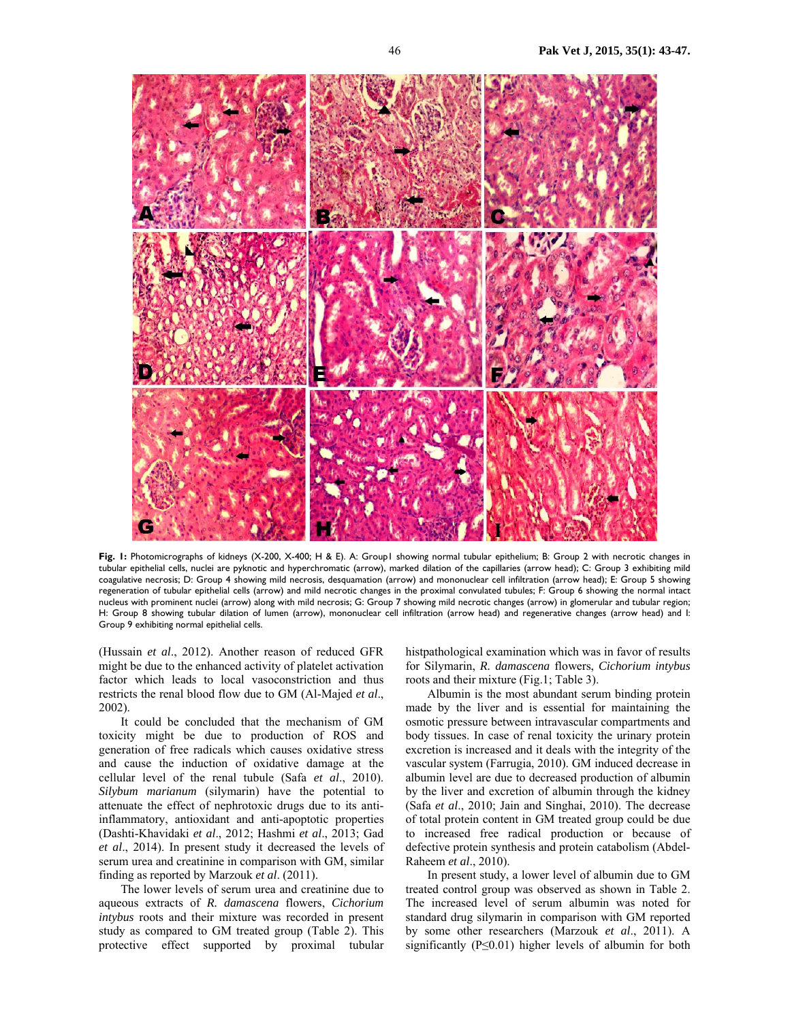

**Fig. 1:** Photomicrographs of kidneys (X-200, X-400; H & E). A: Group1 showing normal tubular epithelium; B: Group 2 with necrotic changes in tubular epithelial cells, nuclei are pyknotic and hyperchromatic (arrow), marked dilation of the capillaries (arrow head); C: Group 3 exhibiting mild coagulative necrosis; D: Group 4 showing mild necrosis, desquamation (arrow) and mononuclear cell infiltration (arrow head); E: Group 5 showing regeneration of tubular epithelial cells (arrow) and mild necrotic changes in the proximal convulated tubules; F: Group 6 showing the normal intact nucleus with prominent nuclei (arrow) along with mild necrosis; G: Group 7 showing mild necrotic changes (arrow) in glomerular and tubular region; H: Group 8 showing tubular dilation of lumen (arrow), mononuclear cell infiltration (arrow head) and regenerative changes (arrow head) and I: Group 9 exhibiting normal epithelial cells.

(Hussain *et al*., 2012). Another reason of reduced GFR might be due to the enhanced activity of platelet activation factor which leads to local vasoconstriction and thus restricts the renal blood flow due to GM (Al-Majed *et al*., 2002).

It could be concluded that the mechanism of GM toxicity might be due to production of ROS and generation of free radicals which causes oxidative stress and cause the induction of oxidative damage at the cellular level of the renal tubule (Safa *et al*., 2010). *Silybum marianum* (silymarin) have the potential to attenuate the effect of nephrotoxic drugs due to its antiinflammatory, antioxidant and anti-apoptotic properties (Dashti-Khavidaki *et al*., 2012; Hashmi *et al*., 2013; Gad *et al*., 2014). In present study it decreased the levels of serum urea and creatinine in comparison with GM, similar finding as reported by Marzouk *et al*. (2011).

The lower levels of serum urea and creatinine due to aqueous extracts of *R. damascena* flowers, *Cichorium intybus* roots and their mixture was recorded in present study as compared to GM treated group (Table 2). This protective effect supported by proximal tubular

histpathological examination which was in favor of results for Silymarin, *R. damascena* flowers, *Cichorium intybus*  roots and their mixture (Fig.1; Table 3).

Albumin is the most abundant serum binding protein made by the liver and is essential for maintaining the osmotic pressure between intravascular compartments and body tissues. In case of renal toxicity the urinary protein excretion is increased and it deals with the integrity of the vascular system (Farrugia, 2010). GM induced decrease in albumin level are due to decreased production of albumin by the liver and excretion of albumin through the kidney (Safa *et al*., 2010; Jain and Singhai, 2010). The decrease of total protein content in GM treated group could be due to increased free radical production or because of defective protein synthesis and protein catabolism (Abdel-Raheem *et al*., 2010).

In present study, a lower level of albumin due to GM treated control group was observed as shown in Table 2. The increased level of serum albumin was noted for standard drug silymarin in comparison with GM reported by some other researchers (Marzouk *et al*., 2011). A significantly (P≤0.01) higher levels of albumin for both